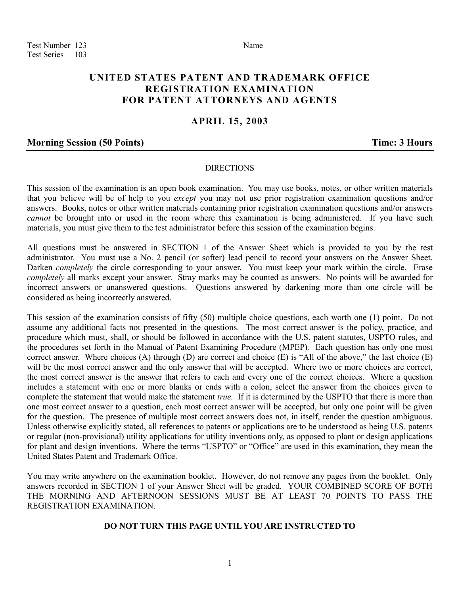Test Number 123 Name Test Series 103

# **UNITED STATES PATENT AND TRADEMARK OFFICE REGISTRATION EXAMINATION FOR PATENT ATTORNEYS AND AGENTS**

## **APRIL 15, 2003**

### **Morning Session (50 Points) Time: 3 Hours**

#### DIRECTIONS

This session of the examination is an open book examination. You may use books, notes, or other written materials that you believe will be of help to you *except* you may not use prior registration examination questions and/or answers. Books, notes or other written materials containing prior registration examination questions and/or answers *cannot* be brought into or used in the room where this examination is being administered. If you have such materials, you must give them to the test administrator before this session of the examination begins.

All questions must be answered in SECTION 1 of the Answer Sheet which is provided to you by the test administrator. You must use a No. 2 pencil (or softer) lead pencil to record your answers on the Answer Sheet. Darken *completely* the circle corresponding to your answer. You must keep your mark within the circle. Erase *completely* all marks except your answer. Stray marks may be counted as answers. No points will be awarded for incorrect answers or unanswered questions. Questions answered by darkening more than one circle will be considered as being incorrectly answered.

This session of the examination consists of fifty (50) multiple choice questions, each worth one (1) point. Do not assume any additional facts not presented in the questions. The most correct answer is the policy, practice, and procedure which must, shall, or should be followed in accordance with the U.S. patent statutes, USPTO rules, and the procedures set forth in the Manual of Patent Examining Procedure (MPEP)*.* Each question has only one most correct answer. Where choices (A) through (D) are correct and choice (E) is "All of the above," the last choice (E) will be the most correct answer and the only answer that will be accepted. Where two or more choices are correct, the most correct answer is the answer that refers to each and every one of the correct choices. Where a question includes a statement with one or more blanks or ends with a colon, select the answer from the choices given to complete the statement that would make the statement *true.* If it is determined by the USPTO that there is more than one most correct answer to a question, each most correct answer will be accepted, but only one point will be given for the question. The presence of multiple most correct answers does not, in itself, render the question ambiguous. Unless otherwise explicitly stated, all references to patents or applications are to be understood as being U.S. patents or regular (non-provisional) utility applications for utility inventions only, as opposed to plant or design applications for plant and design inventions. Where the terms "USPTO" or "Office" are used in this examination, they mean the United States Patent and Trademark Office.

You may write anywhere on the examination booklet. However, do not remove any pages from the booklet. Only answers recorded in SECTION 1 of your Answer Sheet will be graded. YOUR COMBINED SCORE OF BOTH THE MORNING AND AFTERNOON SESSIONS MUST BE AT LEAST 70 POINTS TO PASS THE REGISTRATION EXAMINATION.

### **DO NOT TURN THIS PAGE UNTIL YOU ARE INSTRUCTED TO**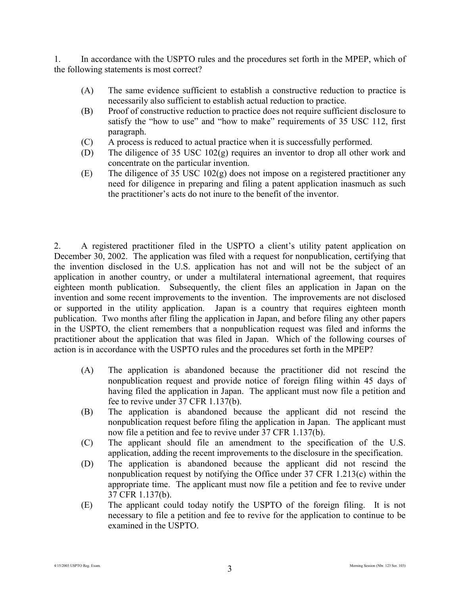1. In accordance with the USPTO rules and the procedures set forth in the MPEP, which of the following statements is most correct?

- (A) The same evidence sufficient to establish a constructive reduction to practice is necessarily also sufficient to establish actual reduction to practice.
- (B) Proof of constructive reduction to practice does not require sufficient disclosure to satisfy the "how to use" and "how to make" requirements of 35 USC 112, first paragraph.
- (C) A process is reduced to actual practice when it is successfully performed.
- (D) The diligence of 35 USC 102(g) requires an inventor to drop all other work and concentrate on the particular invention.
- (E) The diligence of 35 USC 102(g) does not impose on a registered practitioner any need for diligence in preparing and filing a patent application inasmuch as such the practitioner's acts do not inure to the benefit of the inventor.

2. A registered practitioner filed in the USPTO a client's utility patent application on December 30, 2002. The application was filed with a request for nonpublication, certifying that the invention disclosed in the U.S. application has not and will not be the subject of an application in another country, or under a multilateral international agreement, that requires eighteen month publication. Subsequently, the client files an application in Japan on the invention and some recent improvements to the invention. The improvements are not disclosed or supported in the utility application. Japan is a country that requires eighteen month publication. Two months after filing the application in Japan, and before filing any other papers in the USPTO, the client remembers that a nonpublication request was filed and informs the practitioner about the application that was filed in Japan. Which of the following courses of action is in accordance with the USPTO rules and the procedures set forth in the MPEP?

- (A) The application is abandoned because the practitioner did not rescind the nonpublication request and provide notice of foreign filing within 45 days of having filed the application in Japan. The applicant must now file a petition and fee to revive under 37 CFR 1.137(b).
- (B) The application is abandoned because the applicant did not rescind the nonpublication request before filing the application in Japan. The applicant must now file a petition and fee to revive under 37 CFR 1.137(b).
- (C) The applicant should file an amendment to the specification of the U.S. application, adding the recent improvements to the disclosure in the specification.
- (D) The application is abandoned because the applicant did not rescind the nonpublication request by notifying the Office under 37 CFR 1.213(c) within the appropriate time. The applicant must now file a petition and fee to revive under 37 CFR 1.137(b).
- (E) The applicant could today notify the USPTO of the foreign filing. It is not necessary to file a petition and fee to revive for the application to continue to be examined in the USPTO.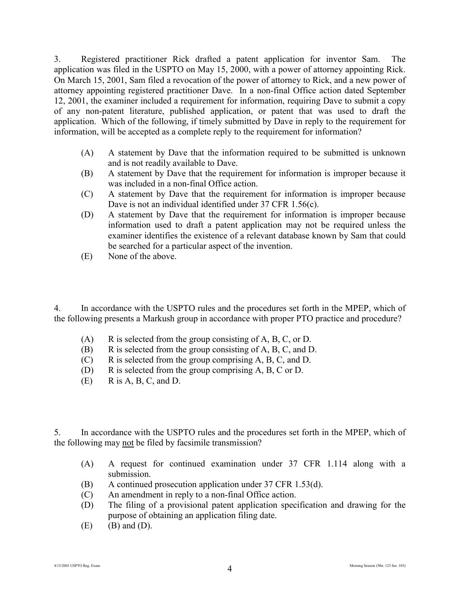3. Registered practitioner Rick drafted a patent application for inventor Sam. The application was filed in the USPTO on May 15, 2000, with a power of attorney appointing Rick. On March 15, 2001, Sam filed a revocation of the power of attorney to Rick, and a new power of attorney appointing registered practitioner Dave. In a non-final Office action dated September 12, 2001, the examiner included a requirement for information, requiring Dave to submit a copy of any non-patent literature, published application, or patent that was used to draft the application. Which of the following, if timely submitted by Dave in reply to the requirement for information, will be accepted as a complete reply to the requirement for information?

- (A) A statement by Dave that the information required to be submitted is unknown and is not readily available to Dave.
- (B) A statement by Dave that the requirement for information is improper because it was included in a non-final Office action.
- (C) A statement by Dave that the requirement for information is improper because Dave is not an individual identified under 37 CFR 1.56(c).
- (D) A statement by Dave that the requirement for information is improper because information used to draft a patent application may not be required unless the examiner identifies the existence of a relevant database known by Sam that could be searched for a particular aspect of the invention.
- (E) None of the above.

4. In accordance with the USPTO rules and the procedures set forth in the MPEP, which of the following presents a Markush group in accordance with proper PTO practice and procedure?

- $(A)$  R is selected from the group consisting of A, B, C, or D.
- (B) R is selected from the group consisting of A, B, C, and D.
- (C) R is selected from the group comprising A, B, C, and D.
- (D) R is selected from the group comprising A, B, C or D.
- $(E)$  R is A, B, C, and D.

5. In accordance with the USPTO rules and the procedures set forth in the MPEP, which of the following may not be filed by facsimile transmission?

- (A) A request for continued examination under 37 CFR 1.114 along with a submission.
- (B) A continued prosecution application under 37 CFR 1.53(d).
- (C) An amendment in reply to a non-final Office action.
- (D) The filing of a provisional patent application specification and drawing for the purpose of obtaining an application filing date.
- $(E)$  (B) and  $(D)$ .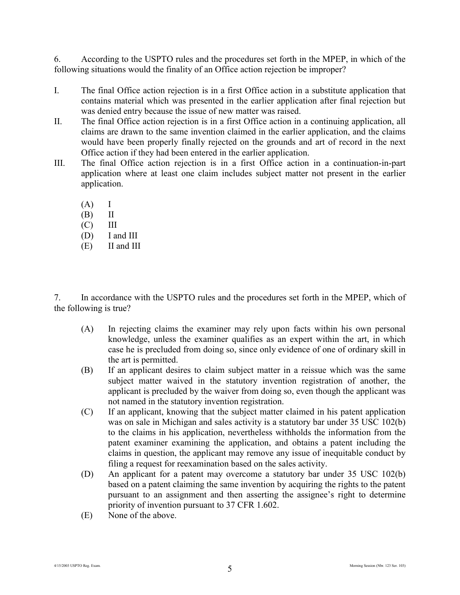6. According to the USPTO rules and the procedures set forth in the MPEP, in which of the following situations would the finality of an Office action rejection be improper?

- I. The final Office action rejection is in a first Office action in a substitute application that contains material which was presented in the earlier application after final rejection but was denied entry because the issue of new matter was raised.
- II. The final Office action rejection is in a first Office action in a continuing application, all claims are drawn to the same invention claimed in the earlier application, and the claims would have been properly finally rejected on the grounds and art of record in the next Office action if they had been entered in the earlier application.
- III. The final Office action rejection is in a first Office action in a continuation-in-part application where at least one claim includes subject matter not present in the earlier application.
	- $(A)$  I
	- (B) II
	- $(C)$  III
	- (D) I and III
	- (E) II and III

7. In accordance with the USPTO rules and the procedures set forth in the MPEP, which of the following is true?

- (A) In rejecting claims the examiner may rely upon facts within his own personal knowledge, unless the examiner qualifies as an expert within the art, in which case he is precluded from doing so, since only evidence of one of ordinary skill in the art is permitted.
- (B) If an applicant desires to claim subject matter in a reissue which was the same subject matter waived in the statutory invention registration of another, the applicant is precluded by the waiver from doing so, even though the applicant was not named in the statutory invention registration.
- (C) If an applicant, knowing that the subject matter claimed in his patent application was on sale in Michigan and sales activity is a statutory bar under 35 USC 102(b) to the claims in his application, nevertheless withholds the information from the patent examiner examining the application, and obtains a patent including the claims in question, the applicant may remove any issue of inequitable conduct by filing a request for reexamination based on the sales activity.
- (D) An applicant for a patent may overcome a statutory bar under 35 USC 102(b) based on a patent claiming the same invention by acquiring the rights to the patent pursuant to an assignment and then asserting the assignee's right to determine priority of invention pursuant to 37 CFR 1.602.
- (E) None of the above.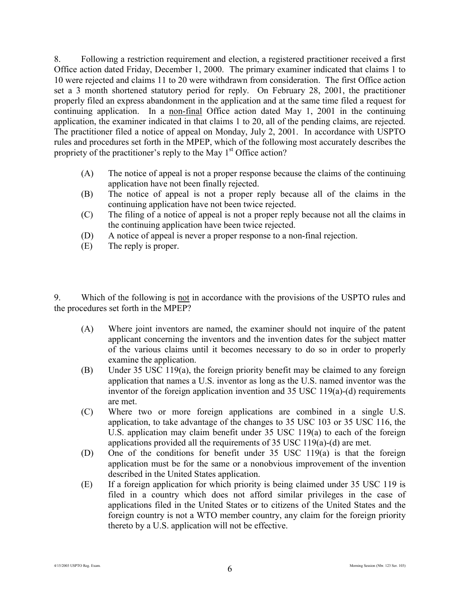8. Following a restriction requirement and election, a registered practitioner received a first Office action dated Friday, December 1, 2000. The primary examiner indicated that claims 1 to 10 were rejected and claims 11 to 20 were withdrawn from consideration. The first Office action set a 3 month shortened statutory period for reply. On February 28, 2001, the practitioner properly filed an express abandonment in the application and at the same time filed a request for continuing application. In a non-final Office action dated May 1, 2001 in the continuing application, the examiner indicated in that claims 1 to 20, all of the pending claims, are rejected. The practitioner filed a notice of appeal on Monday, July 2, 2001. In accordance with USPTO rules and procedures set forth in the MPEP, which of the following most accurately describes the propriety of the practitioner's reply to the May  $1<sup>st</sup>$  Office action?

- (A) The notice of appeal is not a proper response because the claims of the continuing application have not been finally rejected.
- (B) The notice of appeal is not a proper reply because all of the claims in the continuing application have not been twice rejected.
- (C) The filing of a notice of appeal is not a proper reply because not all the claims in the continuing application have been twice rejected.
- (D) A notice of appeal is never a proper response to a non-final rejection.
- (E) The reply is proper.

9. Which of the following is not in accordance with the provisions of the USPTO rules and the procedures set forth in the MPEP?

- (A) Where joint inventors are named, the examiner should not inquire of the patent applicant concerning the inventors and the invention dates for the subject matter of the various claims until it becomes necessary to do so in order to properly examine the application.
- (B) Under 35 USC 119(a), the foreign priority benefit may be claimed to any foreign application that names a U.S. inventor as long as the U.S. named inventor was the inventor of the foreign application invention and 35 USC 119(a)-(d) requirements are met.
- (C) Where two or more foreign applications are combined in a single U.S. application, to take advantage of the changes to 35 USC 103 or 35 USC 116, the U.S. application may claim benefit under 35 USC 119(a) to each of the foreign applications provided all the requirements of 35 USC 119(a)-(d) are met.
- (D) One of the conditions for benefit under 35 USC 119(a) is that the foreign application must be for the same or a nonobvious improvement of the invention described in the United States application.
- (E) If a foreign application for which priority is being claimed under 35 USC 119 is filed in a country which does not afford similar privileges in the case of applications filed in the United States or to citizens of the United States and the foreign country is not a WTO member country, any claim for the foreign priority thereto by a U.S. application will not be effective.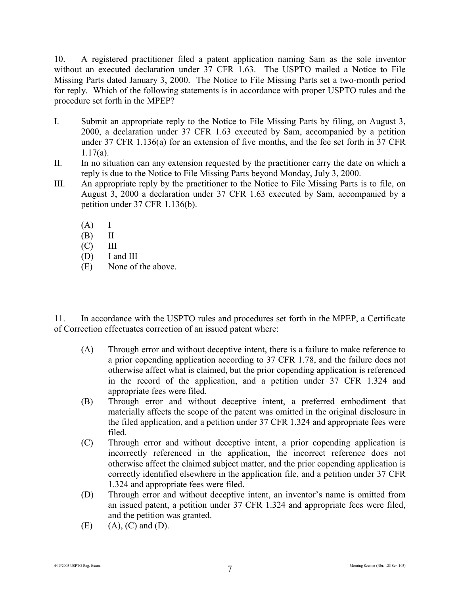10. A registered practitioner filed a patent application naming Sam as the sole inventor without an executed declaration under 37 CFR 1.63. The USPTO mailed a Notice to File Missing Parts dated January 3, 2000. The Notice to File Missing Parts set a two-month period for reply. Which of the following statements is in accordance with proper USPTO rules and the procedure set forth in the MPEP?

- I. Submit an appropriate reply to the Notice to File Missing Parts by filing, on August 3, 2000, a declaration under 37 CFR 1.63 executed by Sam, accompanied by a petition under 37 CFR 1.136(a) for an extension of five months, and the fee set forth in 37 CFR 1.17(a).
- II. In no situation can any extension requested by the practitioner carry the date on which a reply is due to the Notice to File Missing Parts beyond Monday, July 3, 2000.
- III. An appropriate reply by the practitioner to the Notice to File Missing Parts is to file, on August 3, 2000 a declaration under 37 CFR 1.63 executed by Sam, accompanied by a petition under 37 CFR 1.136(b).
	- $(A)$  I
	- (B) II
	- $(C)$  III
	- (D) I and III
	- (E) None of the above.

11. In accordance with the USPTO rules and procedures set forth in the MPEP, a Certificate of Correction effectuates correction of an issued patent where:

- (A) Through error and without deceptive intent, there is a failure to make reference to a prior copending application according to 37 CFR 1.78, and the failure does not otherwise affect what is claimed, but the prior copending application is referenced in the record of the application, and a petition under 37 CFR 1.324 and appropriate fees were filed.
- (B) Through error and without deceptive intent, a preferred embodiment that materially affects the scope of the patent was omitted in the original disclosure in the filed application, and a petition under 37 CFR 1.324 and appropriate fees were filed.
- (C) Through error and without deceptive intent, a prior copending application is incorrectly referenced in the application, the incorrect reference does not otherwise affect the claimed subject matter, and the prior copending application is correctly identified elsewhere in the application file, and a petition under 37 CFR 1.324 and appropriate fees were filed.
- (D) Through error and without deceptive intent, an inventor's name is omitted from an issued patent, a petition under 37 CFR 1.324 and appropriate fees were filed, and the petition was granted.
- $(E)$  (A),  $(C)$  and  $(D)$ .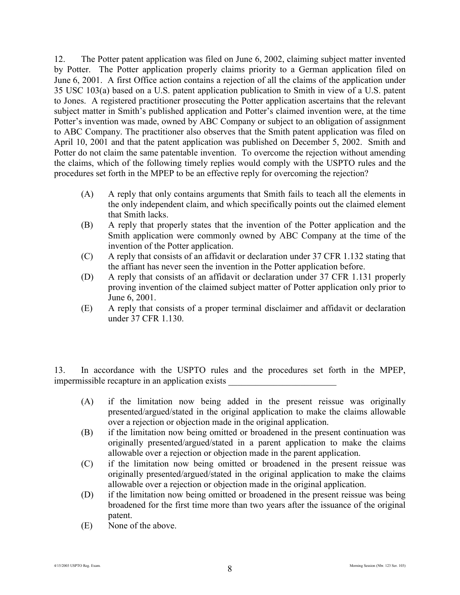12. The Potter patent application was filed on June 6, 2002, claiming subject matter invented by Potter. The Potter application properly claims priority to a German application filed on June 6, 2001. A first Office action contains a rejection of all the claims of the application under 35 USC 103(a) based on a U.S. patent application publication to Smith in view of a U.S. patent to Jones. A registered practitioner prosecuting the Potter application ascertains that the relevant subject matter in Smith's published application and Potter's claimed invention were, at the time Potter's invention was made, owned by ABC Company or subject to an obligation of assignment to ABC Company. The practitioner also observes that the Smith patent application was filed on April 10, 2001 and that the patent application was published on December 5, 2002. Smith and Potter do not claim the same patentable invention. To overcome the rejection without amending the claims, which of the following timely replies would comply with the USPTO rules and the procedures set forth in the MPEP to be an effective reply for overcoming the rejection?

- (A) A reply that only contains arguments that Smith fails to teach all the elements in the only independent claim, and which specifically points out the claimed element that Smith lacks.
- (B) A reply that properly states that the invention of the Potter application and the Smith application were commonly owned by ABC Company at the time of the invention of the Potter application.
- (C) A reply that consists of an affidavit or declaration under 37 CFR 1.132 stating that the affiant has never seen the invention in the Potter application before.
- (D) A reply that consists of an affidavit or declaration under 37 CFR 1.131 properly proving invention of the claimed subject matter of Potter application only prior to June 6, 2001.
- (E) A reply that consists of a proper terminal disclaimer and affidavit or declaration under 37 CFR 1.130.

13. In accordance with the USPTO rules and the procedures set forth in the MPEP, impermissible recapture in an application exists \_\_\_\_\_\_\_\_\_\_\_\_\_\_\_\_\_\_\_\_\_\_\_\_

- (A) if the limitation now being added in the present reissue was originally presented/argued/stated in the original application to make the claims allowable over a rejection or objection made in the original application.
- (B) if the limitation now being omitted or broadened in the present continuation was originally presented/argued/stated in a parent application to make the claims allowable over a rejection or objection made in the parent application.
- (C) if the limitation now being omitted or broadened in the present reissue was originally presented/argued/stated in the original application to make the claims allowable over a rejection or objection made in the original application.
- (D) if the limitation now being omitted or broadened in the present reissue was being broadened for the first time more than two years after the issuance of the original patent.
- (E) None of the above.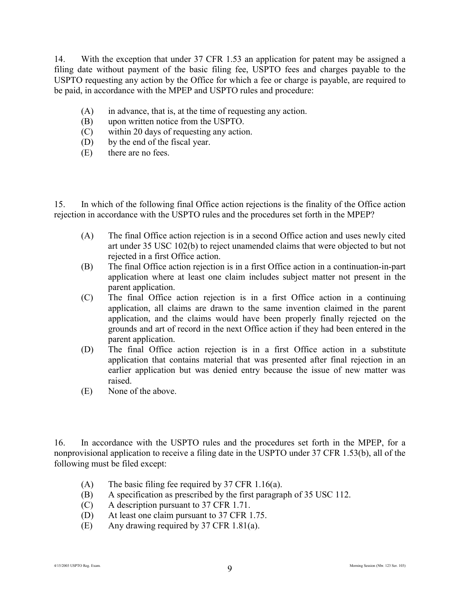14. With the exception that under 37 CFR 1.53 an application for patent may be assigned a filing date without payment of the basic filing fee, USPTO fees and charges payable to the USPTO requesting any action by the Office for which a fee or charge is payable, are required to be paid, in accordance with the MPEP and USPTO rules and procedure:

- (A) in advance, that is, at the time of requesting any action.
- (B) upon written notice from the USPTO.
- (C) within 20 days of requesting any action.
- (D) by the end of the fiscal year.
- (E) there are no fees.

15. In which of the following final Office action rejections is the finality of the Office action rejection in accordance with the USPTO rules and the procedures set forth in the MPEP?

- (A) The final Office action rejection is in a second Office action and uses newly cited art under 35 USC 102(b) to reject unamended claims that were objected to but not rejected in a first Office action.
- (B) The final Office action rejection is in a first Office action in a continuation-in-part application where at least one claim includes subject matter not present in the parent application.
- (C) The final Office action rejection is in a first Office action in a continuing application, all claims are drawn to the same invention claimed in the parent application, and the claims would have been properly finally rejected on the grounds and art of record in the next Office action if they had been entered in the parent application.
- (D) The final Office action rejection is in a first Office action in a substitute application that contains material that was presented after final rejection in an earlier application but was denied entry because the issue of new matter was raised.
- (E) None of the above.

16. In accordance with the USPTO rules and the procedures set forth in the MPEP, for a nonprovisional application to receive a filing date in the USPTO under 37 CFR 1.53(b), all of the following must be filed except:

- (A) The basic filing fee required by 37 CFR 1.16(a).
- (B) A specification as prescribed by the first paragraph of 35 USC 112.
- (C) A description pursuant to 37 CFR 1.71.
- (D) At least one claim pursuant to 37 CFR 1.75.
- (E) Any drawing required by 37 CFR 1.81(a).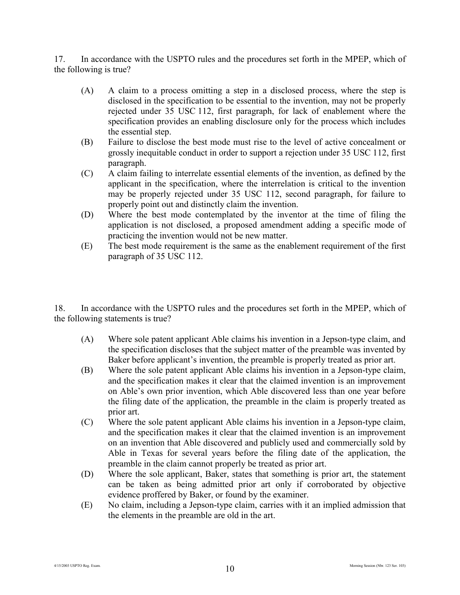17. In accordance with the USPTO rules and the procedures set forth in the MPEP, which of the following is true?

- (A) A claim to a process omitting a step in a disclosed process, where the step is disclosed in the specification to be essential to the invention, may not be properly rejected under 35 USC 112, first paragraph, for lack of enablement where the specification provides an enabling disclosure only for the process which includes the essential step.
- (B) Failure to disclose the best mode must rise to the level of active concealment or grossly inequitable conduct in order to support a rejection under 35 USC 112, first paragraph.
- (C) A claim failing to interrelate essential elements of the invention, as defined by the applicant in the specification, where the interrelation is critical to the invention may be properly rejected under 35 USC 112, second paragraph, for failure to properly point out and distinctly claim the invention.
- (D) Where the best mode contemplated by the inventor at the time of filing the application is not disclosed, a proposed amendment adding a specific mode of practicing the invention would not be new matter.
- (E) The best mode requirement is the same as the enablement requirement of the first paragraph of 35 USC 112.

18. In accordance with the USPTO rules and the procedures set forth in the MPEP, which of the following statements is true?

- (A) Where sole patent applicant Able claims his invention in a Jepson-type claim, and the specification discloses that the subject matter of the preamble was invented by Baker before applicant's invention, the preamble is properly treated as prior art.
- (B) Where the sole patent applicant Able claims his invention in a Jepson-type claim, and the specification makes it clear that the claimed invention is an improvement on Able's own prior invention, which Able discovered less than one year before the filing date of the application, the preamble in the claim is properly treated as prior art.
- (C) Where the sole patent applicant Able claims his invention in a Jepson-type claim, and the specification makes it clear that the claimed invention is an improvement on an invention that Able discovered and publicly used and commercially sold by Able in Texas for several years before the filing date of the application, the preamble in the claim cannot properly be treated as prior art.
- (D) Where the sole applicant, Baker, states that something is prior art, the statement can be taken as being admitted prior art only if corroborated by objective evidence proffered by Baker, or found by the examiner.
- (E) No claim, including a Jepson-type claim, carries with it an implied admission that the elements in the preamble are old in the art.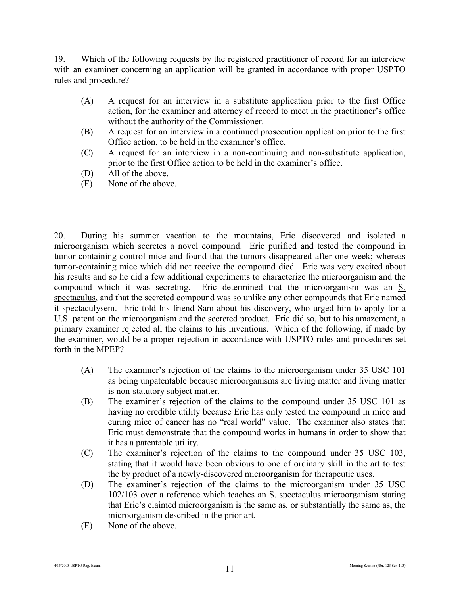19. Which of the following requests by the registered practitioner of record for an interview with an examiner concerning an application will be granted in accordance with proper USPTO rules and procedure?

- (A) A request for an interview in a substitute application prior to the first Office action, for the examiner and attorney of record to meet in the practitioner's office without the authority of the Commissioner.
- (B) A request for an interview in a continued prosecution application prior to the first Office action, to be held in the examiner's office.
- (C) A request for an interview in a non-continuing and non-substitute application, prior to the first Office action to be held in the examiner's office.
- (D) All of the above.
- (E) None of the above.

20. During his summer vacation to the mountains, Eric discovered and isolated a microorganism which secretes a novel compound. Eric purified and tested the compound in tumor-containing control mice and found that the tumors disappeared after one week; whereas tumor-containing mice which did not receive the compound died. Eric was very excited about his results and so he did a few additional experiments to characterize the microorganism and the compound which it was secreting. Eric determined that the microorganism was an S. spectaculus, and that the secreted compound was so unlike any other compounds that Eric named it spectaculysem. Eric told his friend Sam about his discovery, who urged him to apply for a U.S. patent on the microorganism and the secreted product. Eric did so, but to his amazement, a primary examiner rejected all the claims to his inventions. Which of the following, if made by the examiner, would be a proper rejection in accordance with USPTO rules and procedures set forth in the MPEP?

- (A) The examiner's rejection of the claims to the microorganism under 35 USC 101 as being unpatentable because microorganisms are living matter and living matter is non-statutory subject matter.
- (B) The examiner's rejection of the claims to the compound under 35 USC 101 as having no credible utility because Eric has only tested the compound in mice and curing mice of cancer has no "real world" value. The examiner also states that Eric must demonstrate that the compound works in humans in order to show that it has a patentable utility.
- (C) The examiner's rejection of the claims to the compound under 35 USC 103, stating that it would have been obvious to one of ordinary skill in the art to test the by product of a newly-discovered microorganism for therapeutic uses.
- (D) The examiner's rejection of the claims to the microorganism under 35 USC 102/103 over a reference which teaches an S. spectaculus microorganism stating that Eric's claimed microorganism is the same as, or substantially the same as, the microorganism described in the prior art.
- (E) None of the above.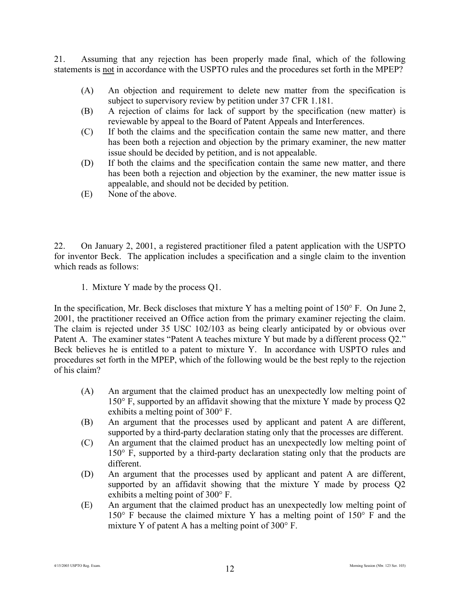21. Assuming that any rejection has been properly made final, which of the following statements is not in accordance with the USPTO rules and the procedures set forth in the MPEP?

- (A) An objection and requirement to delete new matter from the specification is subject to supervisory review by petition under 37 CFR 1.181.
- (B) A rejection of claims for lack of support by the specification (new matter) is reviewable by appeal to the Board of Patent Appeals and Interferences.
- (C) If both the claims and the specification contain the same new matter, and there has been both a rejection and objection by the primary examiner, the new matter issue should be decided by petition, and is not appealable.
- (D) If both the claims and the specification contain the same new matter, and there has been both a rejection and objection by the examiner, the new matter issue is appealable, and should not be decided by petition.
- (E) None of the above.

22. On January 2, 2001, a registered practitioner filed a patent application with the USPTO for inventor Beck. The application includes a specification and a single claim to the invention which reads as follows:

1. Mixture Y made by the process Q1.

In the specification, Mr. Beck discloses that mixture Y has a melting point of  $150^{\circ}$  F. On June 2, 2001, the practitioner received an Office action from the primary examiner rejecting the claim. The claim is rejected under 35 USC 102/103 as being clearly anticipated by or obvious over Patent A. The examiner states "Patent A teaches mixture Y but made by a different process Q2." Beck believes he is entitled to a patent to mixture Y. In accordance with USPTO rules and procedures set forth in the MPEP, which of the following would be the best reply to the rejection of his claim?

- (A) An argument that the claimed product has an unexpectedly low melting point of 150° F, supported by an affidavit showing that the mixture Y made by process Q2 exhibits a melting point of 300° F.
- (B) An argument that the processes used by applicant and patent A are different, supported by a third-party declaration stating only that the processes are different.
- (C) An argument that the claimed product has an unexpectedly low melting point of 150° F, supported by a third-party declaration stating only that the products are different.
- (D) An argument that the processes used by applicant and patent A are different, supported by an affidavit showing that the mixture Y made by process Q2 exhibits a melting point of 300° F.
- (E) An argument that the claimed product has an unexpectedly low melting point of 150° F because the claimed mixture Y has a melting point of 150° F and the mixture Y of patent A has a melting point of 300° F.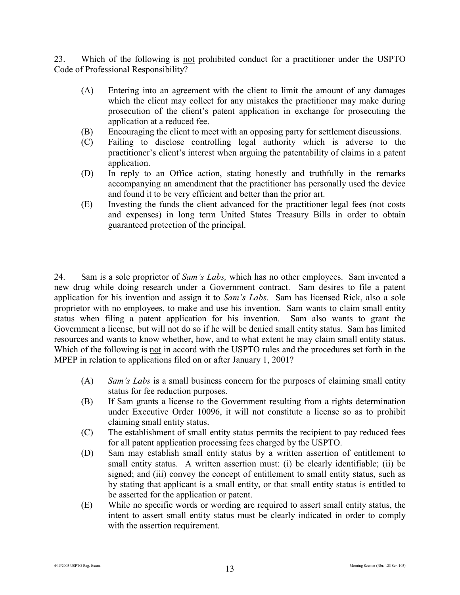23. Which of the following is not prohibited conduct for a practitioner under the USPTO Code of Professional Responsibility?

- (A) Entering into an agreement with the client to limit the amount of any damages which the client may collect for any mistakes the practitioner may make during prosecution of the client's patent application in exchange for prosecuting the application at a reduced fee.
- (B) Encouraging the client to meet with an opposing party for settlement discussions.
- (C) Failing to disclose controlling legal authority which is adverse to the practitioner's client's interest when arguing the patentability of claims in a patent application.
- (D) In reply to an Office action, stating honestly and truthfully in the remarks accompanying an amendment that the practitioner has personally used the device and found it to be very efficient and better than the prior art.
- (E) Investing the funds the client advanced for the practitioner legal fees (not costs and expenses) in long term United States Treasury Bills in order to obtain guaranteed protection of the principal.

24. Sam is a sole proprietor of *Sam's Labs,* which has no other employees. Sam invented a new drug while doing research under a Government contract. Sam desires to file a patent application for his invention and assign it to *Sam's Labs*. Sam has licensed Rick, also a sole proprietor with no employees, to make and use his invention. Sam wants to claim small entity status when filing a patent application for his invention. Sam also wants to grant the Government a license, but will not do so if he will be denied small entity status. Sam has limited resources and wants to know whether, how, and to what extent he may claim small entity status. Which of the following is not in accord with the USPTO rules and the procedures set forth in the MPEP in relation to applications filed on or after January 1, 2001?

- (A) *Sam's Labs* is a small business concern for the purposes of claiming small entity status for fee reduction purposes.
- (B) If Sam grants a license to the Government resulting from a rights determination under Executive Order 10096, it will not constitute a license so as to prohibit claiming small entity status.
- (C) The establishment of small entity status permits the recipient to pay reduced fees for all patent application processing fees charged by the USPTO.
- (D) Sam may establish small entity status by a written assertion of entitlement to small entity status. A written assertion must: (i) be clearly identifiable; (ii) be signed; and (iii) convey the concept of entitlement to small entity status, such as by stating that applicant is a small entity, or that small entity status is entitled to be asserted for the application or patent.
- (E) While no specific words or wording are required to assert small entity status, the intent to assert small entity status must be clearly indicated in order to comply with the assertion requirement.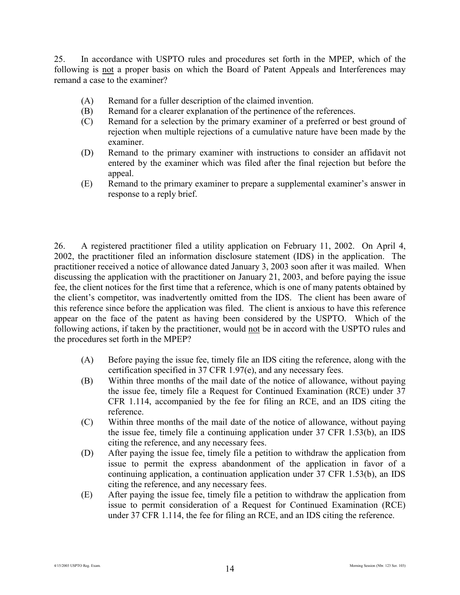25. In accordance with USPTO rules and procedures set forth in the MPEP, which of the following is not a proper basis on which the Board of Patent Appeals and Interferences may remand a case to the examiner?

- (A) Remand for a fuller description of the claimed invention.
- (B) Remand for a clearer explanation of the pertinence of the references.
- (C) Remand for a selection by the primary examiner of a preferred or best ground of rejection when multiple rejections of a cumulative nature have been made by the examiner.
- (D) Remand to the primary examiner with instructions to consider an affidavit not entered by the examiner which was filed after the final rejection but before the appeal.
- (E) Remand to the primary examiner to prepare a supplemental examiner's answer in response to a reply brief.

26. A registered practitioner filed a utility application on February 11, 2002. On April 4, 2002, the practitioner filed an information disclosure statement (IDS) in the application. The practitioner received a notice of allowance dated January 3, 2003 soon after it was mailed. When discussing the application with the practitioner on January 21, 2003, and before paying the issue fee, the client notices for the first time that a reference, which is one of many patents obtained by the client's competitor, was inadvertently omitted from the IDS. The client has been aware of this reference since before the application was filed. The client is anxious to have this reference appear on the face of the patent as having been considered by the USPTO. Which of the following actions, if taken by the practitioner, would not be in accord with the USPTO rules and the procedures set forth in the MPEP?

- (A) Before paying the issue fee, timely file an IDS citing the reference, along with the certification specified in 37 CFR 1.97(e), and any necessary fees.
- (B) Within three months of the mail date of the notice of allowance, without paying the issue fee, timely file a Request for Continued Examination (RCE) under 37 CFR 1.114, accompanied by the fee for filing an RCE, and an IDS citing the reference.
- (C) Within three months of the mail date of the notice of allowance, without paying the issue fee, timely file a continuing application under 37 CFR 1.53(b), an IDS citing the reference, and any necessary fees.
- (D) After paying the issue fee, timely file a petition to withdraw the application from issue to permit the express abandonment of the application in favor of a continuing application, a continuation application under 37 CFR 1.53(b), an IDS citing the reference, and any necessary fees.
- (E) After paying the issue fee, timely file a petition to withdraw the application from issue to permit consideration of a Request for Continued Examination (RCE) under 37 CFR 1.114, the fee for filing an RCE, and an IDS citing the reference.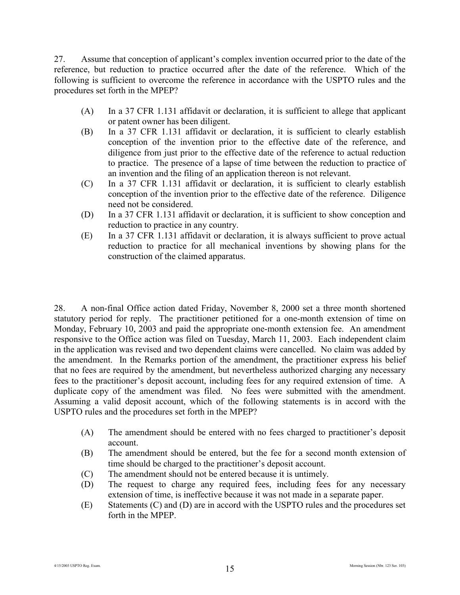27. Assume that conception of applicant's complex invention occurred prior to the date of the reference, but reduction to practice occurred after the date of the reference. Which of the following is sufficient to overcome the reference in accordance with the USPTO rules and the procedures set forth in the MPEP?

- (A) In a 37 CFR 1.131 affidavit or declaration, it is sufficient to allege that applicant or patent owner has been diligent.
- (B) In a 37 CFR 1.131 affidavit or declaration, it is sufficient to clearly establish conception of the invention prior to the effective date of the reference, and diligence from just prior to the effective date of the reference to actual reduction to practice. The presence of a lapse of time between the reduction to practice of an invention and the filing of an application thereon is not relevant.
- (C) In a 37 CFR 1.131 affidavit or declaration, it is sufficient to clearly establish conception of the invention prior to the effective date of the reference. Diligence need not be considered.
- (D) In a 37 CFR 1.131 affidavit or declaration, it is sufficient to show conception and reduction to practice in any country.
- (E) In a 37 CFR 1.131 affidavit or declaration, it is always sufficient to prove actual reduction to practice for all mechanical inventions by showing plans for the construction of the claimed apparatus.

28. A non-final Office action dated Friday, November 8, 2000 set a three month shortened statutory period for reply. The practitioner petitioned for a one-month extension of time on Monday, February 10, 2003 and paid the appropriate one-month extension fee. An amendment responsive to the Office action was filed on Tuesday, March 11, 2003. Each independent claim in the application was revised and two dependent claims were cancelled. No claim was added by the amendment. In the Remarks portion of the amendment, the practitioner express his belief that no fees are required by the amendment, but nevertheless authorized charging any necessary fees to the practitioner's deposit account, including fees for any required extension of time. A duplicate copy of the amendment was filed. No fees were submitted with the amendment. Assuming a valid deposit account, which of the following statements is in accord with the USPTO rules and the procedures set forth in the MPEP?

- (A) The amendment should be entered with no fees charged to practitioner's deposit account.
- (B) The amendment should be entered, but the fee for a second month extension of time should be charged to the practitioner's deposit account.
- (C) The amendment should not be entered because it is untimely.
- (D) The request to charge any required fees, including fees for any necessary extension of time, is ineffective because it was not made in a separate paper.
- (E) Statements (C) and (D) are in accord with the USPTO rules and the procedures set forth in the MPEP.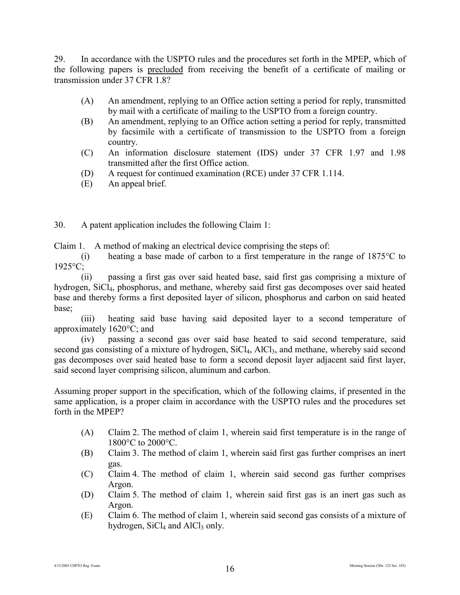29. In accordance with the USPTO rules and the procedures set forth in the MPEP, which of the following papers is precluded from receiving the benefit of a certificate of mailing or transmission under 37 CFR 1.8?

- (A) An amendment, replying to an Office action setting a period for reply, transmitted by mail with a certificate of mailing to the USPTO from a foreign country.
- (B) An amendment, replying to an Office action setting a period for reply, transmitted by facsimile with a certificate of transmission to the USPTO from a foreign country.
- (C) An information disclosure statement (IDS) under 37 CFR 1.97 and 1.98 transmitted after the first Office action.
- (D) A request for continued examination (RCE) under 37 CFR 1.114.
- (E) An appeal brief.

30. A patent application includes the following Claim 1:

Claim 1. A method of making an electrical device comprising the steps of:

(i) heating a base made of carbon to a first temperature in the range of 1875°C to 1925°C;

(ii) passing a first gas over said heated base, said first gas comprising a mixture of hydrogen, SiCl<sub>4</sub>, phosphorus, and methane, whereby said first gas decomposes over said heated base and thereby forms a first deposited layer of silicon, phosphorus and carbon on said heated base;

(iii) heating said base having said deposited layer to a second temperature of approximately 1620°C; and

(iv) passing a second gas over said base heated to said second temperature, said second gas consisting of a mixture of hydrogen, SiCl<sub>4</sub>, AlCl<sub>3</sub>, and methane, whereby said second gas decomposes over said heated base to form a second deposit layer adjacent said first layer, said second layer comprising silicon, aluminum and carbon.

Assuming proper support in the specification, which of the following claims, if presented in the same application, is a proper claim in accordance with the USPTO rules and the procedures set forth in the MPEP?

- (A) Claim 2. The method of claim 1, wherein said first temperature is in the range of 1800°C to 2000°C.
- (B) Claim 3. The method of claim 1, wherein said first gas further comprises an inert gas.
- (C) Claim 4. The method of claim 1, wherein said second gas further comprises Argon.
- (D) Claim 5. The method of claim 1, wherein said first gas is an inert gas such as Argon.
- (E) Claim 6. The method of claim 1, wherein said second gas consists of a mixture of hydrogen,  $SiCl<sub>4</sub>$  and  $AlCl<sub>3</sub>$  only.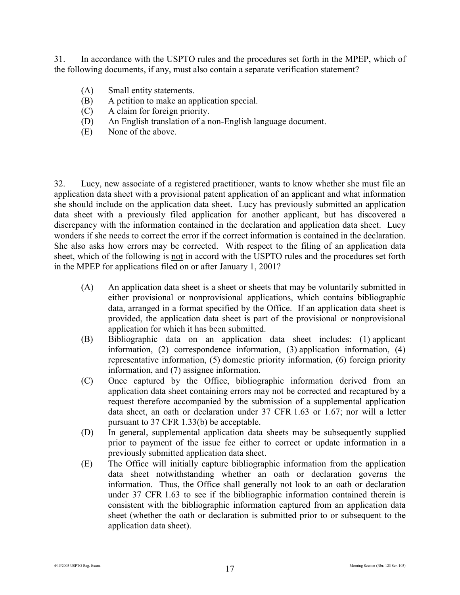31. In accordance with the USPTO rules and the procedures set forth in the MPEP, which of the following documents, if any, must also contain a separate verification statement?

- (A) Small entity statements.
- (B) A petition to make an application special.
- (C) A claim for foreign priority.
- (D) An English translation of a non-English language document.
- (E) None of the above.

32. Lucy, new associate of a registered practitioner, wants to know whether she must file an application data sheet with a provisional patent application of an applicant and what information she should include on the application data sheet. Lucy has previously submitted an application data sheet with a previously filed application for another applicant, but has discovered a discrepancy with the information contained in the declaration and application data sheet. Lucy wonders if she needs to correct the error if the correct information is contained in the declaration. She also asks how errors may be corrected. With respect to the filing of an application data sheet, which of the following is not in accord with the USPTO rules and the procedures set forth in the MPEP for applications filed on or after January 1, 2001?

- (A) An application data sheet is a sheet or sheets that may be voluntarily submitted in either provisional or nonprovisional applications, which contains bibliographic data, arranged in a format specified by the Office. If an application data sheet is provided, the application data sheet is part of the provisional or nonprovisional application for which it has been submitted.
- (B) Bibliographic data on an application data sheet includes: (1) applicant information, (2) correspondence information, (3) application information, (4) representative information, (5) domestic priority information, (6) foreign priority information, and (7) assignee information.
- (C) Once captured by the Office, bibliographic information derived from an application data sheet containing errors may not be corrected and recaptured by a request therefore accompanied by the submission of a supplemental application data sheet, an oath or declaration under 37 CFR 1.63 or 1.67; nor will a letter pursuant to 37 CFR 1.33(b) be acceptable.
- (D) In general, supplemental application data sheets may be subsequently supplied prior to payment of the issue fee either to correct or update information in a previously submitted application data sheet.
- (E) The Office will initially capture bibliographic information from the application data sheet notwithstanding whether an oath or declaration governs the information. Thus, the Office shall generally not look to an oath or declaration under 37 CFR 1.63 to see if the bibliographic information contained therein is consistent with the bibliographic information captured from an application data sheet (whether the oath or declaration is submitted prior to or subsequent to the application data sheet).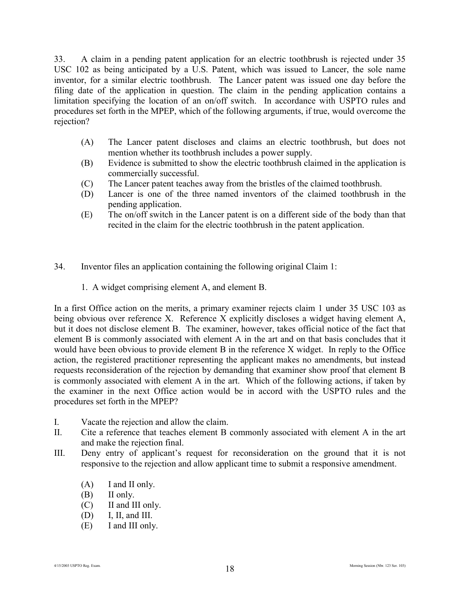33. A claim in a pending patent application for an electric toothbrush is rejected under 35 USC 102 as being anticipated by a U.S. Patent, which was issued to Lancer, the sole name inventor, for a similar electric toothbrush. The Lancer patent was issued one day before the filing date of the application in question. The claim in the pending application contains a limitation specifying the location of an on/off switch. In accordance with USPTO rules and procedures set forth in the MPEP, which of the following arguments, if true, would overcome the rejection?

- (A) The Lancer patent discloses and claims an electric toothbrush, but does not mention whether its toothbrush includes a power supply.
- (B) Evidence is submitted to show the electric toothbrush claimed in the application is commercially successful.
- (C) The Lancer patent teaches away from the bristles of the claimed toothbrush.
- (D) Lancer is one of the three named inventors of the claimed toothbrush in the pending application.
- (E) The on/off switch in the Lancer patent is on a different side of the body than that recited in the claim for the electric toothbrush in the patent application.
- 34. Inventor files an application containing the following original Claim 1:
	- 1. A widget comprising element A, and element B.

In a first Office action on the merits, a primary examiner rejects claim 1 under 35 USC 103 as being obvious over reference X. Reference X explicitly discloses a widget having element A, but it does not disclose element B. The examiner, however, takes official notice of the fact that element B is commonly associated with element A in the art and on that basis concludes that it would have been obvious to provide element B in the reference X widget. In reply to the Office action, the registered practitioner representing the applicant makes no amendments, but instead requests reconsideration of the rejection by demanding that examiner show proof that element B is commonly associated with element A in the art. Which of the following actions, if taken by the examiner in the next Office action would be in accord with the USPTO rules and the procedures set forth in the MPEP?

- I. Vacate the rejection and allow the claim.
- II. Cite a reference that teaches element B commonly associated with element A in the art and make the rejection final.
- III. Deny entry of applicant's request for reconsideration on the ground that it is not responsive to the rejection and allow applicant time to submit a responsive amendment.
	- (A) I and II only.
	- (B) II only.
	- (C) II and III only.
	- (D) I, II, and III.
	- (E) I and III only.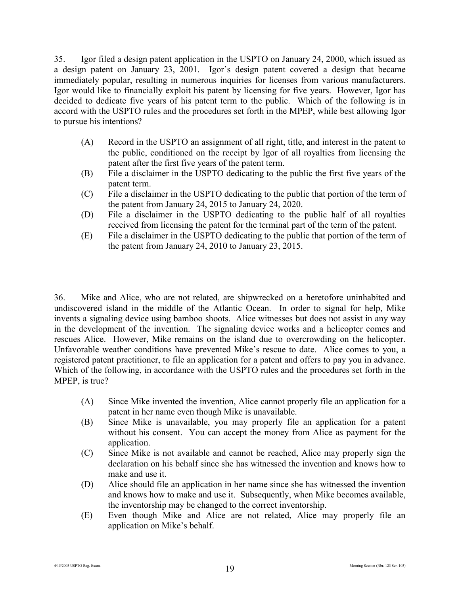35. Igor filed a design patent application in the USPTO on January 24, 2000, which issued as a design patent on January 23, 2001. Igor's design patent covered a design that became immediately popular, resulting in numerous inquiries for licenses from various manufacturers. Igor would like to financially exploit his patent by licensing for five years. However, Igor has decided to dedicate five years of his patent term to the public. Which of the following is in accord with the USPTO rules and the procedures set forth in the MPEP, while best allowing Igor to pursue his intentions?

- (A) Record in the USPTO an assignment of all right, title, and interest in the patent to the public, conditioned on the receipt by Igor of all royalties from licensing the patent after the first five years of the patent term.
- (B) File a disclaimer in the USPTO dedicating to the public the first five years of the patent term.
- (C) File a disclaimer in the USPTO dedicating to the public that portion of the term of the patent from January 24, 2015 to January 24, 2020.
- (D) File a disclaimer in the USPTO dedicating to the public half of all royalties received from licensing the patent for the terminal part of the term of the patent.
- (E) File a disclaimer in the USPTO dedicating to the public that portion of the term of the patent from January 24, 2010 to January 23, 2015.

36. Mike and Alice, who are not related, are shipwrecked on a heretofore uninhabited and undiscovered island in the middle of the Atlantic Ocean. In order to signal for help, Mike invents a signaling device using bamboo shoots. Alice witnesses but does not assist in any way in the development of the invention. The signaling device works and a helicopter comes and rescues Alice. However, Mike remains on the island due to overcrowding on the helicopter. Unfavorable weather conditions have prevented Mike's rescue to date. Alice comes to you, a registered patent practitioner, to file an application for a patent and offers to pay you in advance. Which of the following, in accordance with the USPTO rules and the procedures set forth in the MPEP, is true?

- (A) Since Mike invented the invention, Alice cannot properly file an application for a patent in her name even though Mike is unavailable.
- (B) Since Mike is unavailable, you may properly file an application for a patent without his consent. You can accept the money from Alice as payment for the application.
- (C) Since Mike is not available and cannot be reached, Alice may properly sign the declaration on his behalf since she has witnessed the invention and knows how to make and use it.
- (D) Alice should file an application in her name since she has witnessed the invention and knows how to make and use it. Subsequently, when Mike becomes available, the inventorship may be changed to the correct inventorship.
- (E) Even though Mike and Alice are not related, Alice may properly file an application on Mike's behalf.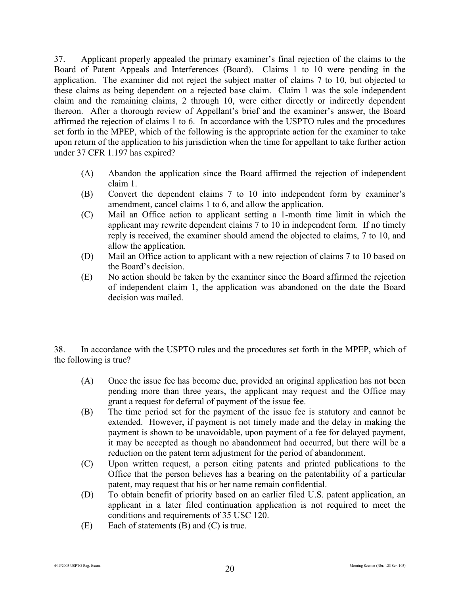37. Applicant properly appealed the primary examiner's final rejection of the claims to the Board of Patent Appeals and Interferences (Board). Claims 1 to 10 were pending in the application. The examiner did not reject the subject matter of claims 7 to 10, but objected to these claims as being dependent on a rejected base claim. Claim 1 was the sole independent claim and the remaining claims, 2 through 10, were either directly or indirectly dependent thereon. After a thorough review of Appellant's brief and the examiner's answer, the Board affirmed the rejection of claims 1 to 6. In accordance with the USPTO rules and the procedures set forth in the MPEP, which of the following is the appropriate action for the examiner to take upon return of the application to his jurisdiction when the time for appellant to take further action under 37 CFR 1.197 has expired?

- (A) Abandon the application since the Board affirmed the rejection of independent claim 1.
- (B) Convert the dependent claims 7 to 10 into independent form by examiner's amendment, cancel claims 1 to 6, and allow the application.
- (C) Mail an Office action to applicant setting a 1-month time limit in which the applicant may rewrite dependent claims 7 to 10 in independent form. If no timely reply is received, the examiner should amend the objected to claims, 7 to 10, and allow the application.
- (D) Mail an Office action to applicant with a new rejection of claims 7 to 10 based on the Board's decision.
- (E) No action should be taken by the examiner since the Board affirmed the rejection of independent claim 1, the application was abandoned on the date the Board decision was mailed.

38. In accordance with the USPTO rules and the procedures set forth in the MPEP, which of the following is true?

- (A) Once the issue fee has become due, provided an original application has not been pending more than three years, the applicant may request and the Office may grant a request for deferral of payment of the issue fee.
- (B) The time period set for the payment of the issue fee is statutory and cannot be extended. However, if payment is not timely made and the delay in making the payment is shown to be unavoidable, upon payment of a fee for delayed payment, it may be accepted as though no abandonment had occurred, but there will be a reduction on the patent term adjustment for the period of abandonment.
- (C) Upon written request, a person citing patents and printed publications to the Office that the person believes has a bearing on the patentability of a particular patent, may request that his or her name remain confidential.
- (D) To obtain benefit of priority based on an earlier filed U.S. patent application, an applicant in a later filed continuation application is not required to meet the conditions and requirements of 35 USC 120.
- $(E)$  Each of statements  $(B)$  and  $(C)$  is true.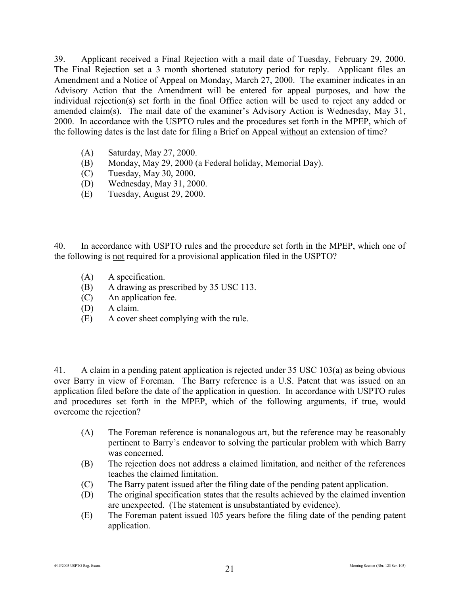39. Applicant received a Final Rejection with a mail date of Tuesday, February 29, 2000. The Final Rejection set a 3 month shortened statutory period for reply. Applicant files an Amendment and a Notice of Appeal on Monday, March 27, 2000. The examiner indicates in an Advisory Action that the Amendment will be entered for appeal purposes, and how the individual rejection(s) set forth in the final Office action will be used to reject any added or amended claim(s). The mail date of the examiner's Advisory Action is Wednesday, May 31, 2000. In accordance with the USPTO rules and the procedures set forth in the MPEP, which of the following dates is the last date for filing a Brief on Appeal without an extension of time?

- (A) Saturday, May 27, 2000.
- (B) Monday, May 29, 2000 (a Federal holiday, Memorial Day).
- (C) Tuesday, May 30, 2000.
- (D) Wednesday, May 31, 2000.
- (E) Tuesday, August 29, 2000.

40. In accordance with USPTO rules and the procedure set forth in the MPEP, which one of the following is not required for a provisional application filed in the USPTO?

- (A) A specification.
- (B) A drawing as prescribed by 35 USC 113.
- (C) An application fee.
- (D) A claim.
- (E) A cover sheet complying with the rule.

41. A claim in a pending patent application is rejected under 35 USC 103(a) as being obvious over Barry in view of Foreman. The Barry reference is a U.S. Patent that was issued on an application filed before the date of the application in question. In accordance with USPTO rules and procedures set forth in the MPEP, which of the following arguments, if true, would overcome the rejection?

- (A) The Foreman reference is nonanalogous art, but the reference may be reasonably pertinent to Barry's endeavor to solving the particular problem with which Barry was concerned.
- (B) The rejection does not address a claimed limitation, and neither of the references teaches the claimed limitation.
- (C) The Barry patent issued after the filing date of the pending patent application.
- (D) The original specification states that the results achieved by the claimed invention are unexpected. (The statement is unsubstantiated by evidence).
- (E) The Foreman patent issued 105 years before the filing date of the pending patent application.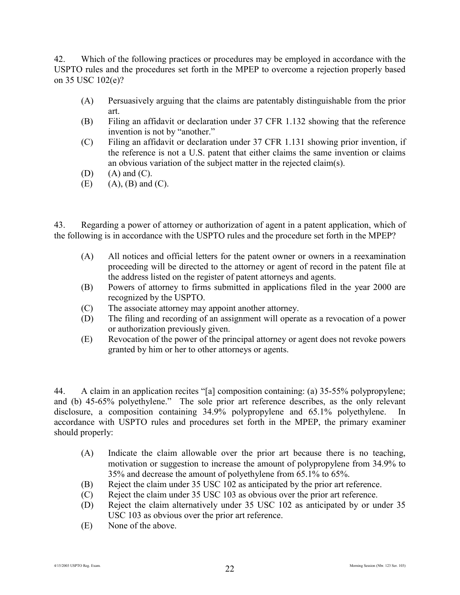42. Which of the following practices or procedures may be employed in accordance with the USPTO rules and the procedures set forth in the MPEP to overcome a rejection properly based on 35 USC 102(e)?

- (A) Persuasively arguing that the claims are patentably distinguishable from the prior art.
- (B) Filing an affidavit or declaration under 37 CFR 1.132 showing that the reference invention is not by "another."
- (C) Filing an affidavit or declaration under 37 CFR 1.131 showing prior invention, if the reference is not a U.S. patent that either claims the same invention or claims an obvious variation of the subject matter in the rejected claim(s).
- $(D)$   $(A)$  and  $(C)$ .
- $(E)$  (A),  $(B)$  and  $(C)$ .

43. Regarding a power of attorney or authorization of agent in a patent application, which of the following is in accordance with the USPTO rules and the procedure set forth in the MPEP?

- (A) All notices and official letters for the patent owner or owners in a reexamination proceeding will be directed to the attorney or agent of record in the patent file at the address listed on the register of patent attorneys and agents.
- (B) Powers of attorney to firms submitted in applications filed in the year 2000 are recognized by the USPTO.
- (C) The associate attorney may appoint another attorney.
- (D) The filing and recording of an assignment will operate as a revocation of a power or authorization previously given.
- (E) Revocation of the power of the principal attorney or agent does not revoke powers granted by him or her to other attorneys or agents.

44. A claim in an application recites "[a] composition containing: (a) 35-55% polypropylene; and (b) 45-65% polyethylene." The sole prior art reference describes, as the only relevant disclosure, a composition containing 34.9% polypropylene and 65.1% polyethylene. In accordance with USPTO rules and procedures set forth in the MPEP, the primary examiner should properly:

- (A) Indicate the claim allowable over the prior art because there is no teaching, motivation or suggestion to increase the amount of polypropylene from 34.9% to 35% and decrease the amount of polyethylene from 65.1% to 65%.
- (B) Reject the claim under 35 USC 102 as anticipated by the prior art reference.
- (C) Reject the claim under 35 USC 103 as obvious over the prior art reference.
- (D) Reject the claim alternatively under 35 USC 102 as anticipated by or under 35 USC 103 as obvious over the prior art reference.
- (E) None of the above.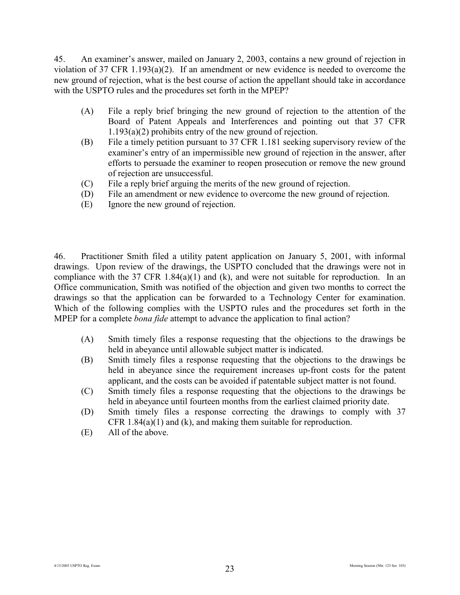45. An examiner's answer, mailed on January 2, 2003, contains a new ground of rejection in violation of 37 CFR 1.193(a)(2). If an amendment or new evidence is needed to overcome the new ground of rejection, what is the best course of action the appellant should take in accordance with the USPTO rules and the procedures set forth in the MPEP?

- (A) File a reply brief bringing the new ground of rejection to the attention of the Board of Patent Appeals and Interferences and pointing out that 37 CFR 1.193(a)(2) prohibits entry of the new ground of rejection.
- (B) File a timely petition pursuant to 37 CFR 1.181 seeking supervisory review of the examiner's entry of an impermissible new ground of rejection in the answer, after efforts to persuade the examiner to reopen prosecution or remove the new ground of rejection are unsuccessful.
- (C) File a reply brief arguing the merits of the new ground of rejection.
- (D) File an amendment or new evidence to overcome the new ground of rejection.
- (E) Ignore the new ground of rejection.

46. Practitioner Smith filed a utility patent application on January 5, 2001, with informal drawings. Upon review of the drawings, the USPTO concluded that the drawings were not in compliance with the 37 CFR 1.84(a)(1) and (k), and were not suitable for reproduction. In an Office communication, Smith was notified of the objection and given two months to correct the drawings so that the application can be forwarded to a Technology Center for examination. Which of the following complies with the USPTO rules and the procedures set forth in the MPEP for a complete *bona fide* attempt to advance the application to final action?

- (A) Smith timely files a response requesting that the objections to the drawings be held in abeyance until allowable subject matter is indicated.
- (B) Smith timely files a response requesting that the objections to the drawings be held in abeyance since the requirement increases up-front costs for the patent applicant, and the costs can be avoided if patentable subject matter is not found.
- (C) Smith timely files a response requesting that the objections to the drawings be held in abeyance until fourteen months from the earliest claimed priority date.
- (D) Smith timely files a response correcting the drawings to comply with 37 CFR  $1.84(a)(1)$  and  $(k)$ , and making them suitable for reproduction.
- (E) All of the above.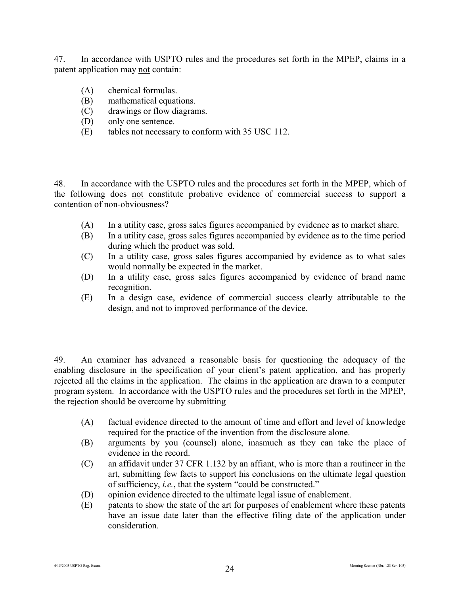47. In accordance with USPTO rules and the procedures set forth in the MPEP, claims in a patent application may not contain:

- (A) chemical formulas.
- (B) mathematical equations.
- (C) drawings or flow diagrams.
- (D) only one sentence.
- (E) tables not necessary to conform with 35 USC 112.

48. In accordance with the USPTO rules and the procedures set forth in the MPEP, which of the following does not constitute probative evidence of commercial success to support a contention of non-obviousness?

- (A) In a utility case, gross sales figures accompanied by evidence as to market share.
- (B) In a utility case, gross sales figures accompanied by evidence as to the time period during which the product was sold.
- (C) In a utility case, gross sales figures accompanied by evidence as to what sales would normally be expected in the market.
- (D) In a utility case, gross sales figures accompanied by evidence of brand name recognition.
- (E) In a design case, evidence of commercial success clearly attributable to the design, and not to improved performance of the device.

49. An examiner has advanced a reasonable basis for questioning the adequacy of the enabling disclosure in the specification of your client's patent application, and has properly rejected all the claims in the application. The claims in the application are drawn to a computer program system. In accordance with the USPTO rules and the procedures set forth in the MPEP, the rejection should be overcome by submitting

- (A) factual evidence directed to the amount of time and effort and level of knowledge required for the practice of the invention from the disclosure alone.
- (B) arguments by you (counsel) alone, inasmuch as they can take the place of evidence in the record.
- (C) an affidavit under 37 CFR 1.132 by an affiant, who is more than a routineer in the art, submitting few facts to support his conclusions on the ultimate legal question of sufficiency, *i.e.*, that the system "could be constructed."
- (D) opinion evidence directed to the ultimate legal issue of enablement.
- (E) patents to show the state of the art for purposes of enablement where these patents have an issue date later than the effective filing date of the application under consideration.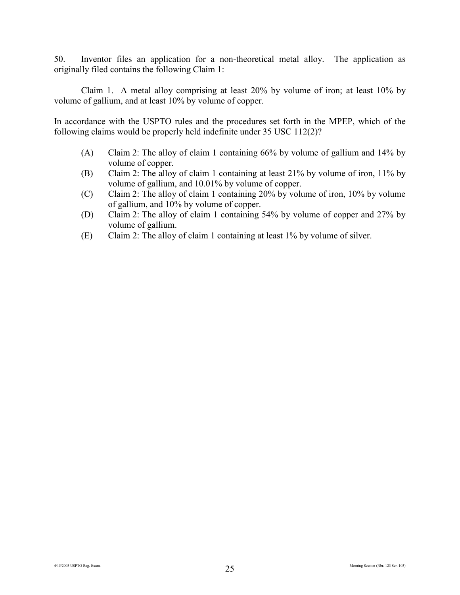50. Inventor files an application for a non-theoretical metal alloy. The application as originally filed contains the following Claim 1:

Claim 1. A metal alloy comprising at least 20% by volume of iron; at least 10% by volume of gallium, and at least 10% by volume of copper.

In accordance with the USPTO rules and the procedures set forth in the MPEP, which of the following claims would be properly held indefinite under 35 USC 112(2)?

- (A) Claim 2: The alloy of claim 1 containing 66% by volume of gallium and 14% by volume of copper.
- (B) Claim 2: The alloy of claim 1 containing at least 21% by volume of iron, 11% by volume of gallium, and 10.01% by volume of copper.
- (C) Claim 2: The alloy of claim 1 containing 20% by volume of iron, 10% by volume of gallium, and 10% by volume of copper.
- (D) Claim 2: The alloy of claim 1 containing 54% by volume of copper and 27% by volume of gallium.
- (E) Claim 2: The alloy of claim 1 containing at least 1% by volume of silver.